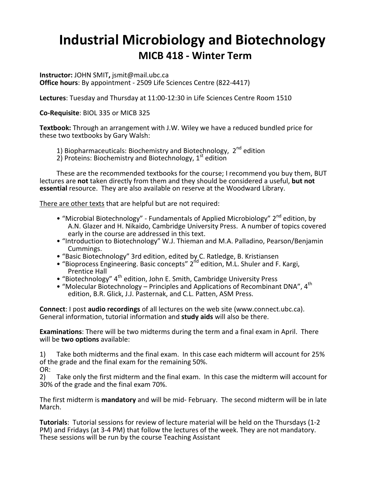# **Industrial Microbiology and Biotechnology MICB 418 - Winter Term**

**Instructor:** JOHN SMIT**,** jsmit@mail.ubc.ca **Office hours**: By appointment - 2509 Life Sciences Centre (822-4417)

**Lectures**: Tuesday and Thursday at 11:00-12:30 in Life Sciences Centre Room 1510

**Co-Requisite**: BIOL 335 or MICB 325

**Textbook:** Through an arrangement with J.W. Wiley we have a reduced bundled price for these two textbooks by Gary Walsh:

1) Biopharmaceuticals: Biochemistry and Biotechnology,  $2^{nd}$  edition

2) Proteins: Biochemistry and Biotechnology,  $1<sup>st</sup>$  edition

These are the recommended textbooks for the course; I recommend you buy them, BUT lectures are **not** taken directly from them and they should be considered a useful, **but not essential** resource. They are also available on reserve at the Woodward Library.

There are other texts that are helpful but are not required:

- "Microbial Biotechnology" Fundamentals of Applied Microbiology" 2<sup>nd</sup> edition, by A.N. Glazer and H. Nikaido, Cambridge University Press. A number of topics covered early in the course are addressed in this text.
- "Introduction to Biotechnology" W.J. Thieman and M.A. Palladino, Pearson/Benjamin Cummings.
- "Basic Biotechnology" 3rd edition, edited by C. Ratledge, B. Kristiansen
- "Bioprocess Engineering. Basic concepts"  $2^{nd}$  edition, M.L. Shuler and F. Kargi, Prentice Hall
- "Biotechnology" 4<sup>th</sup> edition, John E. Smith, Cambridge University Press
- "Molecular Biotechnology Principles and Applications of Recombinant DNA", 4<sup>th</sup> edition, B.R. Glick, J.J. Pasternak, and C.L. Patten, ASM Press.

**Connect**: I post **audio recordings** of all lectures on the web site (www.connect.ubc.ca). General information, tutorial information and **study aids** will also be there.

**Examinations**: There will be two midterms during the term and a final exam in April. There will be **two options** available:

1) Take both midterms and the final exam. In this case each midterm will account for 25% of the grade and the final exam for the remaining 50%.

OR:

2) Take only the first midterm and the final exam. In this case the midterm will account for 30% of the grade and the final exam 70%.

The first midterm is **mandatory** and will be mid- February. The second midterm will be in late March.

**Tutorials**: Tutorial sessions for review of lecture material will be held on the Thursdays (1-2 PM) and Fridays (at 3-4 PM) that follow the lectures of the week. They are not mandatory.These sessions will be run by the course Teaching Assistant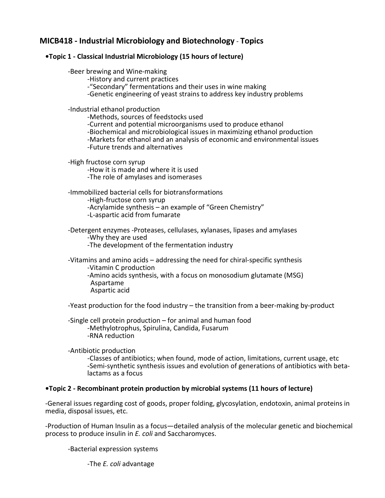### **MICB418 - Industrial Microbiology and Biotechnology** - **Topics**

#### **•Topic 1 - Classical Industrial Microbiology (15 hours of lecture)**

## -Beer brewing and Wine-making -History and current practices

-"Secondary" fermentations and their uses in wine making

-Genetic engineering of yeast strains to address key industry problems

-Industrial ethanol production -Methods, sources of feedstocks used -Current and potential microorganisms used to produce ethanol -Biochemical and microbiological issues in maximizing ethanol production -Markets for ethanol and an analysis of economic and environmental issues -<br>-Future trends and alternatives

-High fructose corn syrup<br>-How it is made and where it is used -The role of amylases and isomerases

-Immobilized bacterial cells for biotransformations -High-fructose corn syrup -Acrylamide synthesis – an example of "Green Chemistry" -L-aspartic acid from fumarate

-Detergent enzymes -Proteases, cellulases, xylanases, lipases and amylases -Why they are used -The development of the fermentation industry

-Vitamins and amino acids – addressing the need for chiral-specific synthesis -Vitamin C production -Amino acids synthesis, with a focus on monosodium glutamate (MSG) Aspartame Aspartic acid

-Yeast production for the food industry – the transition from a beer-making by-product

-Single cell protein production – for animal and human food -Methylotrophus, Spirulina, Candida, Fusarum -RNA reduction

-Antibiotic production

-Classes of antibiotics; when found, mode of action, limitations, current usage, etc -Semi-synthetic synthesis issues and evolution of generations of antibiotics with betalactams as a focus

#### **•Topic 2 - Recombinant protein production by microbial systems (11 hours of lecture)**

-General issues regarding cost of goods, proper folding, glycosylation, endotoxin, animal proteins in media, disposal issues, etc.

-Production of Human Insulin as a focus—detailed analysis of the molecular genetic and biochemical process to produce insulin in *E. coli* and Saccharomyces.

-Bacterial expression systems

-The *E. coli* advantage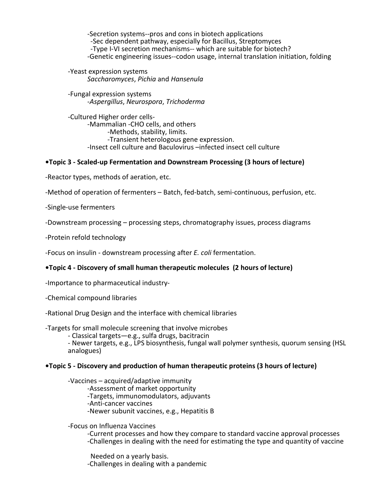-Secretion systems--pros and cons in biotech applications -Sec dependent pathway, especially for Bacillus, Streptomyces -Type I-VI secretion mechanisms-- which are suitable for biotech? -Genetic engineering issues--codon usage, internal translation initiation, folding

-Yeast expression systems *Saccharomyces*, *Pichia* and *Hansenula*

-Fungal expression systems -*Aspergillus*, *Neurospora*, *Trichoderma*

-Cultured Higher order cells-<br>-Mammalian -CHO cells, and others<br>-Methods, stability, limits.<br>-Transient heterologous gene expression. -Insect cell culture and Baculovirus –infected insect cell culture

#### **•Topic 3 - Scaled-up Fermentation and Downstream Processing (3 hours of lecture)**

-Reactor types, methods of aeration, etc.

-Method of operation of fermenters – Batch, fed-batch, semi-continuous, perfusion, etc.

-Single-use fermenters

-Downstream processing – processing steps, chromatography issues, process diagrams

-Protein refold technology

-Focus on insulin - downstream processing after *E. coli* fermentation.

#### **•Topic 4 - Discovery of small human therapeutic molecules (2 hours of lecture)**

-Importance to pharmaceutical industry-

-Chemical compound libraries

-Rational Drug Design and the interface with chemical libraries

-Targets for small molecule screening that involve microbes

- Classical targets—e.g., sulfa drugs, bacitracin

- Newer targets, e.g., LPS biosynthesis, fungal wall polymer synthesis, quorum sensing (HSL analogues)

#### **•Topic 5 - Discovery and production of human therapeutic proteins (3 hours of lecture)**

-Vaccines – acquired/adaptive immunity -Assessment of market opportunity -Targets, immunomodulators, adjuvants -Anti-cancer vaccines<br>-Newer subunit vaccines, e.g., Hepatitis B

-Focus on Influenza Vaccines -Current processes and how they compare to standard vaccine approval processes -Challenges in dealing with the need for estimating the type and quantity of vaccine

Needed on a yearly basis. -Challenges in dealing with a pandemic